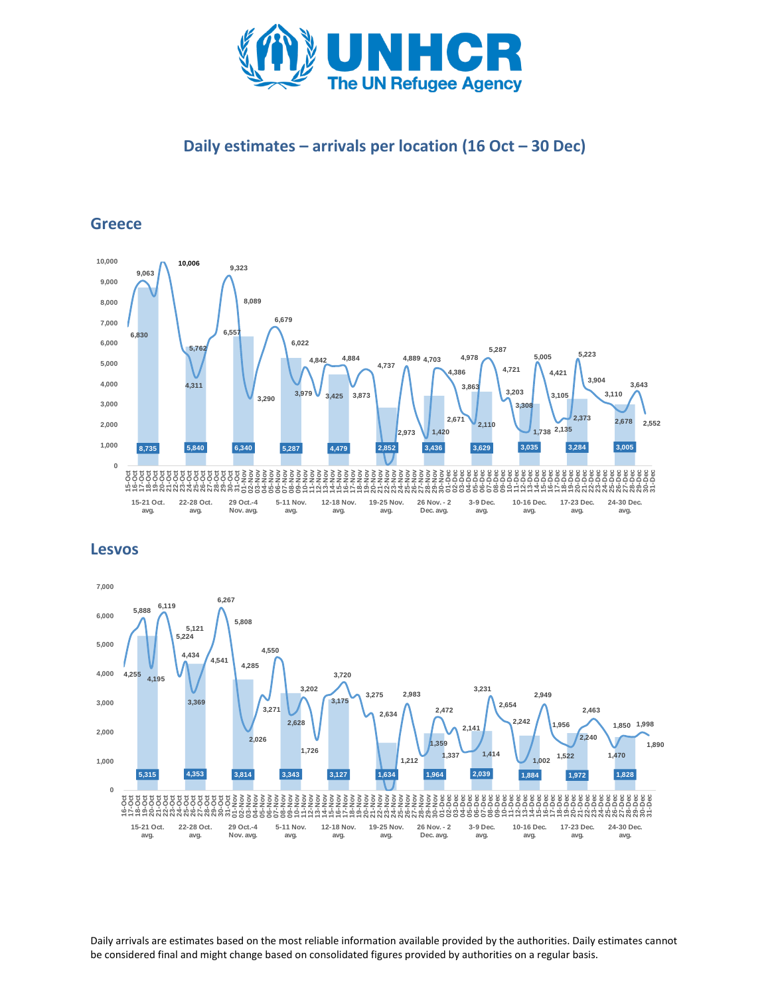

# **Daily estimates – arrivals per location (16 Oct – 30 Dec)**

## **Greece**



**Lesvos**



Daily arrivals are estimates based on the most reliable information available provided by the authorities. Daily estimates cannot be considered final and might change based on consolidated figures provided by authorities on a regular basis.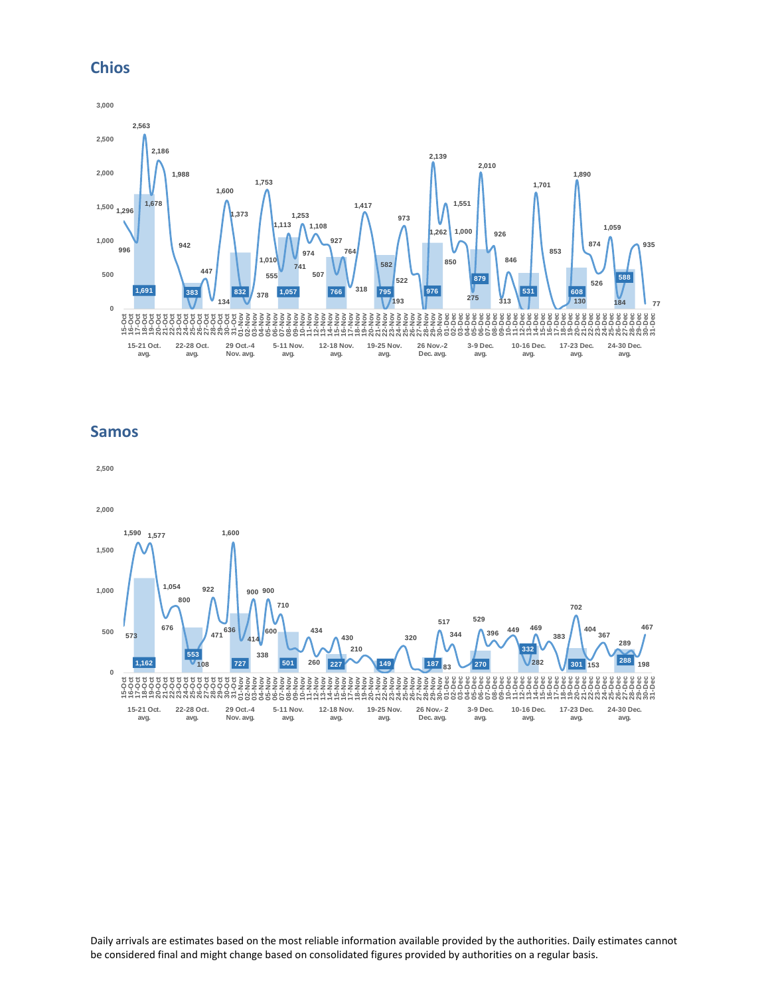### **Chios**



## **Samos**



Daily arrivals are estimates based on the most reliable information available provided by the authorities. Daily estimates cannot be considered final and might change based on consolidated figures provided by authorities on a regular basis.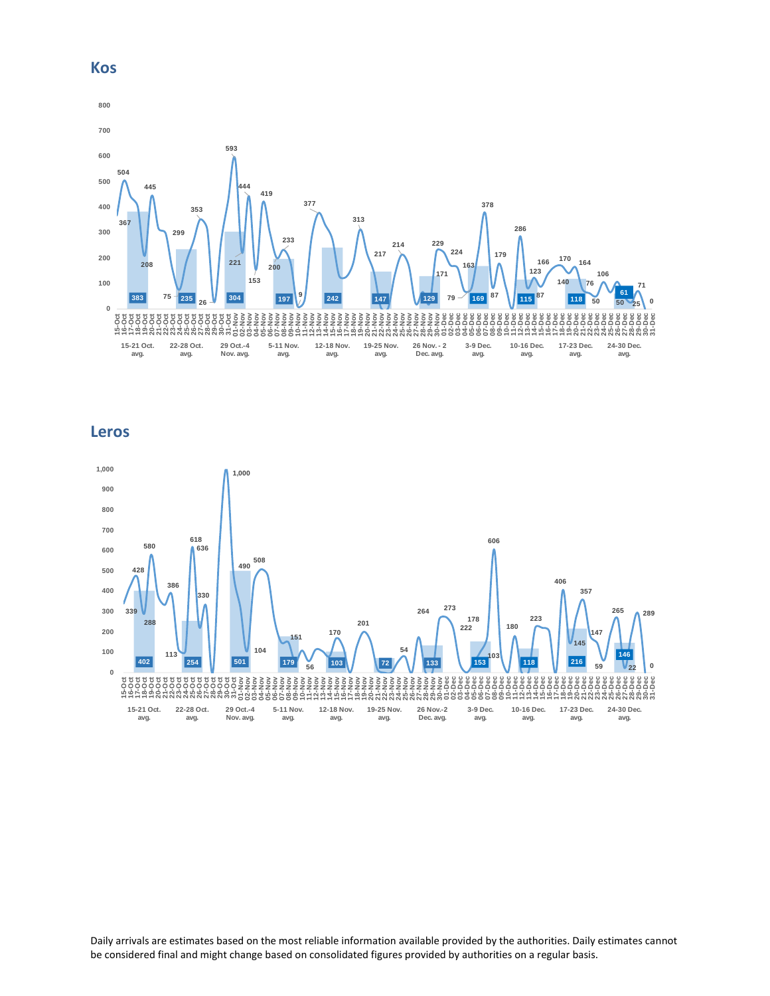

**Leros**



Daily arrivals are estimates based on the most reliable information available provided by the authorities. Daily estimates cannot be considered final and might change based on consolidated figures provided by authorities on a regular basis.

#### **Kos**